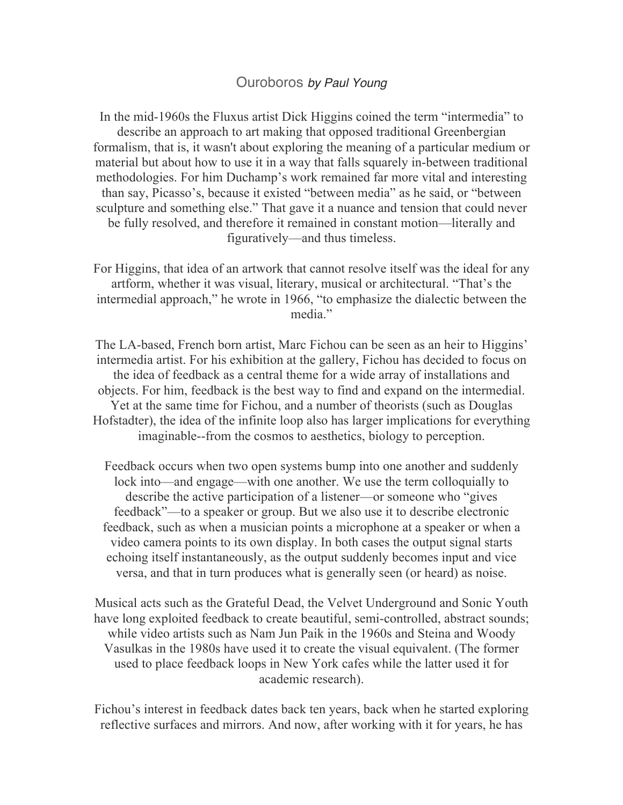## Ouroboros *by Paul Young*

In the mid-1960s the Fluxus artist Dick Higgins coined the term "intermedia" to describe an approach to art making that opposed traditional Greenbergian formalism, that is, it wasn't about exploring the meaning of a particular medium or material but about how to use it in a way that falls squarely in-between traditional methodologies. For him Duchamp's work remained far more vital and interesting than say, Picasso's, because it existed "between media" as he said, or "between sculpture and something else." That gave it a nuance and tension that could never be fully resolved, and therefore it remained in constant motion—literally and figuratively—and thus timeless.

For Higgins, that idea of an artwork that cannot resolve itself was the ideal for any artform, whether it was visual, literary, musical or architectural. "That's the intermedial approach," he wrote in 1966, "to emphasize the dialectic between the media."

The LA-based, French born artist, Marc Fichou can be seen as an heir to Higgins' intermedia artist. For his exhibition at the gallery, Fichou has decided to focus on the idea of feedback as a central theme for a wide array of installations and objects. For him, feedback is the best way to find and expand on the intermedial. Yet at the same time for Fichou, and a number of theorists (such as Douglas Hofstadter), the idea of the infinite loop also has larger implications for everything imaginable--from the cosmos to aesthetics, biology to perception.

Feedback occurs when two open systems bump into one another and suddenly lock into—and engage—with one another. We use the term colloquially to describe the active participation of a listener—or someone who "gives feedback"—to a speaker or group. But we also use it to describe electronic feedback, such as when a musician points a microphone at a speaker or when a video camera points to its own display. In both cases the output signal starts echoing itself instantaneously, as the output suddenly becomes input and vice versa, and that in turn produces what is generally seen (or heard) as noise.

Musical acts such as the Grateful Dead, the Velvet Underground and Sonic Youth have long exploited feedback to create beautiful, semi-controlled, abstract sounds; while video artists such as Nam Jun Paik in the 1960s and Steina and Woody Vasulkas in the 1980s have used it to create the visual equivalent. (The former used to place feedback loops in New York cafes while the latter used it for academic research).

Fichou's interest in feedback dates back ten years, back when he started exploring reflective surfaces and mirrors. And now, after working with it for years, he has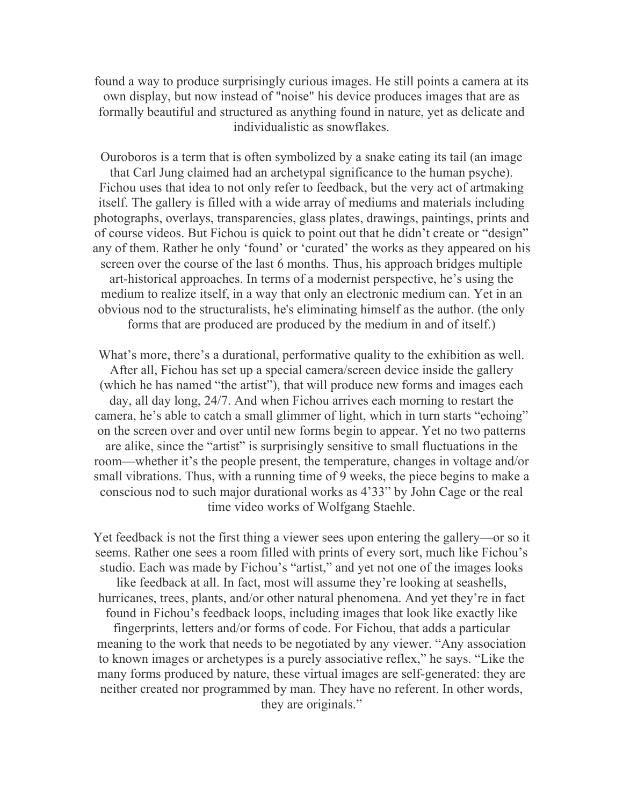found a way to produce surprisingly curious images. He still points a camera at its own display, but now instead of "noise" his device produces images that are as formally beautiful and structured as anything found in nature, yet as delicate and individualistic as snowflakes.

Ouroboros is a term that is often symbolized by a snake eating its tail (an image that Carl Jung claimed had an archetypal significance to the human psyche). Fichou uses that idea to not only refer to feedback, but the very act of artmaking itself. The gallery is filled with a wide array of mediums and materials including photographs, overlays, transparencies, glass plates, drawings, paintings, prints and of course videos. But Fichou is quick to point out that he didn't create or "design" any of them. Rather he only 'found' or 'curated' the works as they appeared on his screen over the course of the last 6 months. Thus, his approach bridges multiple art-historical approaches. In terms of a modernist perspective, he's using the medium to realize itself, in a way that only an electronic medium can. Yet in an obvious nod to the structuralists, he's eliminating himself as the author. (the only forms that are produced are produced by the medium in and of itself.)

What's more, there's a durational, performative quality to the exhibition as well. After all, Fichou has set up a special camera/screen device inside the gallery (which he has named "the artist"), that will produce new forms and images each day, all day long, 24/7. And when Fichou arrives each morning to restart the camera, he's able to catch a small glimmer of light, which in turn starts "echoing" on the screen over and over until new forms begin to appear. Yet no two patterns are alike, since the "artist" is surprisingly sensitive to small fluctuations in the room—whether it's the people present, the temperature, changes in voltage and/or small vibrations. Thus, with a running time of 9 weeks, the piece begins to make a conscious nod to such major durational works as 4'33" by John Cage or the real time video works of Wolfgang Staehle.

Yet feedback is not the first thing a viewer sees upon entering the gallery—or so it seems. Rather one sees a room filled with prints of every sort, much like Fichou's studio. Each was made by Fichou's "artist," and yet not one of the images looks like feedback at all. In fact, most will assume they're looking at seashells, hurricanes, trees, plants, and/or other natural phenomena. And yet they're in fact found in Fichou's feedback loops, including images that look like exactly like fingerprints, letters and/or forms of code. For Fichou, that adds a particular meaning to the work that needs to be negotiated by any viewer. "Any association to known images or archetypes is a purely associative reflex," he says. "Like the many forms produced by nature, these virtual images are self-generated: they are neither created nor programmed by man. They have no referent. In other words, they are originals."